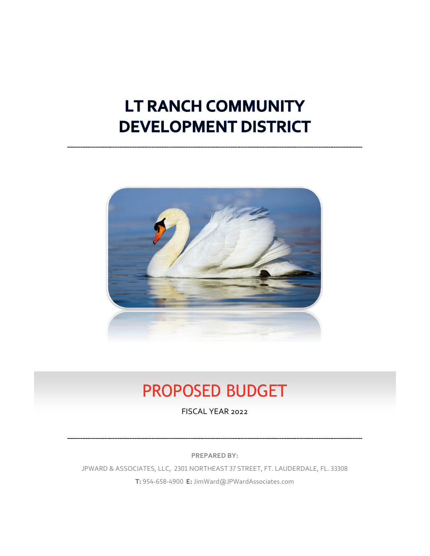# LT RANCH COMMUNITY **DEVELOPMENT DISTRICT**



## PROPOSED BUDGET

FISCAL YEAR 2022

**PREPARED BY:**

JPWARD & ASSOCIATES, LLC, 2301 NORTHEAST 37 STREET, FT. LAUDERDALE, FL. 33308 **T:** 954-658-4900 **E:** JimWard@JPWardAssociates.com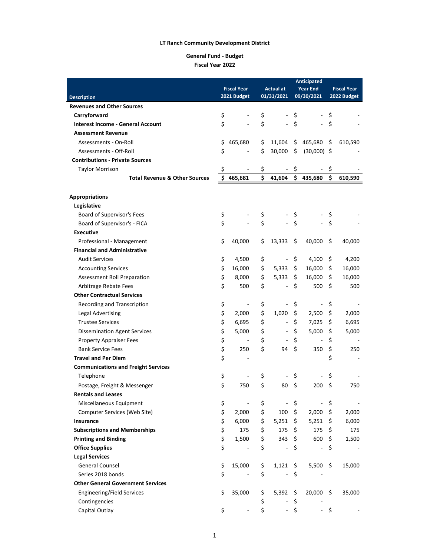### **General Fund - Budget Fiscal Year 2022**

|                                                            |                    |                          | Anticipated |                              |     |                          |                    |             |  |  |
|------------------------------------------------------------|--------------------|--------------------------|-------------|------------------------------|-----|--------------------------|--------------------|-------------|--|--|
|                                                            | <b>Fiscal Year</b> |                          |             | <b>Actual at</b>             |     | <b>Year End</b>          | <b>Fiscal Year</b> |             |  |  |
| <b>Description</b>                                         |                    | 2021 Budget              |             | 01/31/2021                   |     | 09/30/2021               |                    | 2022 Budget |  |  |
| <b>Revenues and Other Sources</b>                          |                    |                          |             |                              |     |                          |                    |             |  |  |
| Carryforward                                               | \$                 |                          | \$          |                              | \$  |                          | \$                 |             |  |  |
| <b>Interest Income - General Account</b>                   | \$                 |                          | \$          |                              | \$  | $\sim$                   | \$                 |             |  |  |
| <b>Assessment Revenue</b>                                  |                    |                          |             |                              |     |                          |                    |             |  |  |
| Assessments - On-Roll                                      | \$                 | 465,680                  | \$          | 11,604                       | \$  | 465,680                  | \$                 | 610,590     |  |  |
| Assessments - Off-Roll                                     | \$                 |                          | \$          | 30,000                       | \$  | $(30,000)$ \$            |                    |             |  |  |
| <b>Contributions - Private Sources</b>                     |                    |                          |             |                              |     |                          |                    |             |  |  |
| <b>Taylor Morrison</b>                                     | \$                 |                          | \$          |                              | \$  |                          | \$                 |             |  |  |
| <b>Total Revenue &amp; Other Sources</b>                   | Ś                  | 465,681                  | \$          | 41,604                       |     | \$435,680                | \$                 | 610,590     |  |  |
|                                                            |                    |                          |             |                              |     |                          |                    |             |  |  |
| <b>Appropriations</b>                                      |                    |                          |             |                              |     |                          |                    |             |  |  |
| Legislative                                                |                    |                          |             |                              |     |                          |                    |             |  |  |
| Board of Supervisor's Fees                                 | \$                 |                          | \$          |                              | \$  |                          | \$                 |             |  |  |
| Board of Supervisor's - FICA                               | \$                 |                          | \$          |                              | \$  |                          | \$                 |             |  |  |
| <b>Executive</b>                                           |                    |                          |             |                              |     |                          |                    |             |  |  |
| Professional - Management                                  | \$                 | 40,000                   | \$          | 13,333                       | \$  | 40,000                   | \$                 | 40,000      |  |  |
| <b>Financial and Administrative</b>                        |                    |                          |             |                              |     |                          |                    |             |  |  |
| <b>Audit Services</b>                                      | \$                 | 4,500                    | \$          | $\blacksquare$               | \$  | 4,100                    | \$                 | 4,200       |  |  |
| <b>Accounting Services</b>                                 | \$                 | 16,000                   | \$          | 5,333                        | \$  | 16,000                   | \$.                | 16,000      |  |  |
| Assessment Roll Preparation                                | \$                 | 8,000                    | \$          | 5,333                        | \$  | 16,000                   | \$                 | 16,000      |  |  |
|                                                            | \$                 | 500                      | \$          | L,                           | \$  | 500                      | \$                 | 500         |  |  |
| Arbitrage Rebate Fees<br><b>Other Contractual Services</b> |                    |                          |             |                              |     |                          |                    |             |  |  |
|                                                            |                    |                          |             |                              |     |                          |                    |             |  |  |
| Recording and Transcription                                | \$                 | $\overline{\phantom{a}}$ | \$          |                              | \$  | $\blacksquare$           | \$                 |             |  |  |
| <b>Legal Advertising</b>                                   | \$                 | 2,000                    | \$          | 1,020                        | \$  | 2,500                    | \$                 | 2,000       |  |  |
| <b>Trustee Services</b>                                    | \$                 | 6,695                    | \$          | $\qquad \qquad \blacksquare$ | \$  | 7,025                    | \$                 | 6,695       |  |  |
| <b>Dissemination Agent Services</b>                        | \$                 | 5,000                    | \$          | $\overline{\phantom{a}}$     | \$  | 5,000                    | \$                 | 5,000       |  |  |
| <b>Property Appraiser Fees</b>                             | \$                 | $\overline{\phantom{a}}$ | \$          |                              | \$  | $\overline{a}$           | \$                 |             |  |  |
| <b>Bank Service Fees</b>                                   | \$                 | 250                      | \$          | 94                           | \$  | 350                      | \$                 | 250         |  |  |
| <b>Travel and Per Diem</b>                                 | \$                 | $\blacksquare$           |             |                              |     |                          | \$                 |             |  |  |
| <b>Communications and Freight Services</b>                 |                    |                          |             |                              |     |                          |                    |             |  |  |
| Telephone                                                  | \$                 |                          | \$          |                              | \$  |                          | \$                 |             |  |  |
| Postage, Freight & Messenger                               | \$                 | 750                      | \$          | 80                           | \$  | 200                      | \$                 | 750         |  |  |
| <b>Rentals and Leases</b>                                  |                    |                          |             |                              |     |                          |                    |             |  |  |
| Miscellaneous Equipment                                    | \$                 |                          | \$          |                              | \$  | -                        | \$                 |             |  |  |
| Computer Services (Web Site)                               | \$                 | 2,000                    | \$          | 100                          | \$  | 2,000                    | \$                 | 2,000       |  |  |
| Insurance                                                  | \$                 | 6,000                    | \$          | 5,251                        | \$  | 5,251                    | - \$               | 6,000       |  |  |
| <b>Subscriptions and Memberships</b>                       | \$                 | 175                      | \$          | 175                          | \$  | 175                      | \$                 | 175         |  |  |
| <b>Printing and Binding</b>                                | \$                 | 1,500                    | \$          | 343                          | \$  | 600                      | \$.                | 1,500       |  |  |
| <b>Office Supplies</b>                                     | \$                 |                          | \$          | ÷                            | \$  | $\overline{\phantom{0}}$ | \$                 |             |  |  |
| <b>Legal Services</b>                                      |                    |                          |             |                              |     |                          |                    |             |  |  |
| <b>General Counsel</b>                                     | \$                 | 15,000                   | \$          | 1,121                        | -\$ | 5,500                    | \$                 | 15,000      |  |  |
| Series 2018 bonds                                          | \$                 |                          | \$          |                              | \$  |                          |                    |             |  |  |
| <b>Other General Government Services</b>                   |                    |                          |             |                              |     |                          |                    |             |  |  |
| Engineering/Field Services                                 | \$                 | 35,000                   | \$          | 5,392                        | \$  | 20,000                   | \$.                | 35,000      |  |  |
| Contingencies                                              |                    |                          | \$          |                              | \$  |                          |                    |             |  |  |
| Capital Outlay                                             | \$                 |                          | \$          |                              | \$  |                          | \$                 |             |  |  |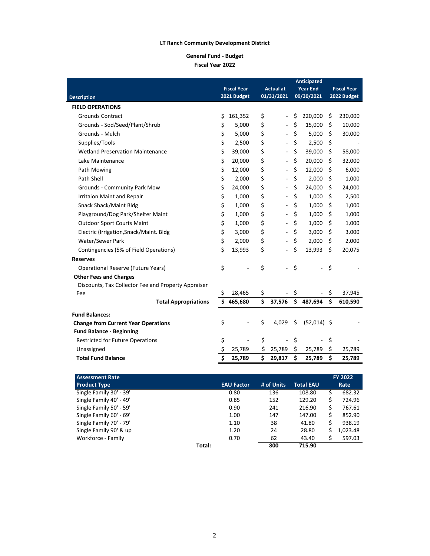### **General Fund - Budget Fiscal Year 2022**

|                                                     |                    | Anticipated |                              |    |                          |    |                    |  |
|-----------------------------------------------------|--------------------|-------------|------------------------------|----|--------------------------|----|--------------------|--|
|                                                     | <b>Fiscal Year</b> |             | <b>Actual at</b>             |    | <b>Year End</b>          |    | <b>Fiscal Year</b> |  |
| <b>Description</b>                                  | 2021 Budget        |             | 01/31/2021                   |    | 09/30/2021               |    | 2022 Budget        |  |
| <b>FIELD OPERATIONS</b>                             |                    |             |                              |    |                          |    |                    |  |
| <b>Grounds Contract</b>                             | \$<br>161,352      | \$          | ÷,                           | \$ | 220,000                  | \$ | 230,000            |  |
| Grounds - Sod/Seed/Plant/Shrub                      | \$<br>5,000        | \$          | ÷,                           | \$ | 15,000                   | \$ | 10,000             |  |
| Grounds - Mulch                                     | \$<br>5,000        | \$          | $\overline{\phantom{a}}$     | \$ | 5,000                    | \$ | 30,000             |  |
| Supplies/Tools                                      | \$<br>2,500        | \$          | $\frac{1}{2}$                | \$ | 2,500                    | \$ |                    |  |
| <b>Wetland Preservation Maintenance</b>             | \$<br>39,000       | \$          | $\frac{1}{2}$                | \$ | 39,000                   | \$ | 58,000             |  |
| Lake Maintenance                                    | \$<br>20,000       | \$          | $\frac{1}{2}$                | \$ | 20,000                   | Ŝ  | 32,000             |  |
| Path Mowing                                         | \$<br>12,000       | \$          | $\qquad \qquad \blacksquare$ | \$ | 12,000                   | \$ | 6,000              |  |
| Path Shell                                          | \$<br>2,000        | \$          | $\qquad \qquad \blacksquare$ | \$ | 2,000                    | \$ | 1,000              |  |
| <b>Grounds - Community Park Mow</b>                 | \$<br>24,000       | \$          | $\qquad \qquad \blacksquare$ | \$ | 24,000                   | \$ | 24,000             |  |
| Irritaion Maint and Repair                          | \$<br>1,000        | \$          | $\qquad \qquad \blacksquare$ | \$ | 1,000                    | \$ | 2,500              |  |
| Snack Shack/Maint Bldg                              | \$<br>1,000        | \$          | $\qquad \qquad \blacksquare$ | \$ | 1,000                    | \$ | 1,000              |  |
| Playground/Dog Park/Shelter Maint                   | \$<br>1,000        | \$          | $\qquad \qquad \blacksquare$ | \$ | 1,000                    | \$ | 1,000              |  |
| <b>Outdoor Sport Courts Maint</b>                   | \$<br>1,000        | \$          | $\overline{\phantom{a}}$     | \$ | 1,000                    | \$ | 1,000              |  |
| Electric (Irrigation, Snack/Maint. Bldg             | \$<br>3,000        | \$          | $\qquad \qquad \blacksquare$ | \$ | 3,000                    | \$ | 3,000              |  |
| Water/Sewer Park                                    | \$<br>2,000        | \$          | $\frac{1}{2}$                | \$ | 2,000                    | \$ | 2,000              |  |
| Contingencies (5% of Field Operations)              | \$<br>13,993       | \$          | ÷,                           | \$ | 13,993                   | \$ | 20,075             |  |
| <b>Reserves</b>                                     |                    |             |                              |    |                          |    |                    |  |
| <b>Operational Reserve (Future Years)</b>           | \$                 | \$          | $\overline{a}$               | \$ | ÷.                       | \$ |                    |  |
| <b>Other Fees and Charges</b>                       |                    |             |                              |    |                          |    |                    |  |
| Discounts, Tax Collector Fee and Property Appraiser |                    |             |                              |    |                          |    |                    |  |
| Fee                                                 | \$<br>28,465       | \$          |                              | \$ | $\overline{\phantom{a}}$ | \$ | 37,945             |  |
| <b>Total Appropriations</b>                         | \$<br>465,680      | Ś           | 37,576                       | \$ | 487,694                  | \$ | 610,590            |  |
| <b>Fund Balances:</b>                               |                    |             |                              |    |                          |    |                    |  |
| <b>Change from Current Year Operations</b>          | \$                 | \$          | 4,029                        | \$ | $(52,014)$ \$            |    |                    |  |
| <b>Fund Balance - Beginning</b>                     |                    |             |                              |    |                          |    |                    |  |
| <b>Restricted for Future Operations</b>             | \$                 | \$          | ÷,                           | \$ |                          | \$ |                    |  |
| Unassigned                                          | \$<br>25,789       | \$          | 25,789                       | \$ | 25,789                   | \$ | 25,789             |  |
| <b>Total Fund Balance</b>                           | \$<br>25,789       | Ś           | 29,817                       | \$ | 25,789                   | \$ | 25,789             |  |
|                                                     |                    |             |                              |    |                          |    |                    |  |

| <b>Assessment Rate</b>  |                   |            |                  |    | <b>FY 2022</b> |
|-------------------------|-------------------|------------|------------------|----|----------------|
| <b>Product Type</b>     | <b>EAU Factor</b> | # of Units | <b>Total EAU</b> |    | Rate           |
| Single Family 30' - 39' | 0.80              | 136        | 108.80           | \$ | 682.32         |
| Single Family 40' - 49' | 0.85              | 152        | 129.20           | \$ | 724.96         |
| Single Family 50' - 59' | 0.90              | 241        | 216.90           | \$ | 767.61         |
| Single Family 60' - 69' | 1.00              | 147        | 147.00           | \$ | 852.90         |
| Single Family 70' - 79' | 1.10              | 38         | 41.80            | \$ | 938.19         |
| Single Family 90' & up  | 1.20              | 24         | 28.80            | Ś  | 1,023.48       |
| Workforce - Family      | 0.70              | 62         | 43.40            | \$ | 597.03         |
|                         | Total:            | 800        | 715.90           |    |                |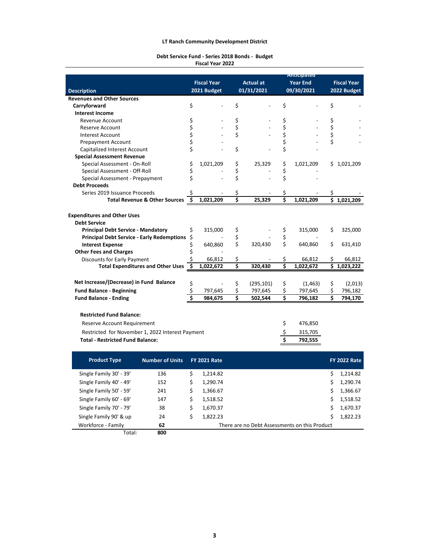#### **Debt Service Fund - Series 2018 Bonds - Budget Fiscal Year 2022**

|                                                   |                        |                    |                     |    |                  | Anticipateu     |    |                     |
|---------------------------------------------------|------------------------|--------------------|---------------------|----|------------------|-----------------|----|---------------------|
|                                                   |                        | <b>Fiscal Year</b> |                     |    | <b>Actual at</b> | <b>Year End</b> |    | <b>Fiscal Year</b>  |
| <b>Description</b>                                |                        |                    | 2021 Budget         |    | 01/31/2021       | 09/30/2021      |    | 2022 Budget         |
| <b>Revenues and Other Sources</b>                 |                        |                    |                     |    |                  |                 |    |                     |
| Carryforward                                      |                        | \$                 |                     | \$ |                  | \$              | \$ |                     |
| <b>Interest Income</b>                            |                        |                    |                     |    |                  |                 |    |                     |
| Revenue Account                                   |                        | \$                 |                     | \$ |                  | \$              | \$ |                     |
| Reserve Account                                   |                        | \$                 |                     | \$ |                  | \$              | \$ |                     |
| <b>Interest Account</b>                           |                        | \$                 |                     | \$ |                  | \$              | \$ |                     |
| <b>Prepayment Account</b>                         |                        | \$                 |                     |    |                  | \$              | \$ |                     |
| Capitalized Interest Account                      |                        | \$                 |                     | \$ |                  | \$              |    |                     |
| <b>Special Assessment Revenue</b>                 |                        |                    |                     |    |                  |                 |    |                     |
| Special Assessment - On-Roll                      |                        | \$                 | 1,021,209           | \$ | 25,329           | \$<br>1,021,209 |    | \$1,021,209         |
| Special Assessment - Off-Roll                     |                        | \$                 |                     | \$ |                  | \$              |    |                     |
| Special Assessment - Prepayment                   |                        | Ś                  |                     | \$ |                  | \$              |    |                     |
| <b>Debt Proceeds</b>                              |                        |                    |                     |    |                  |                 |    |                     |
| Series 2019 Issuance Proceeds                     |                        | Ś                  |                     | \$ |                  | \$              | \$ |                     |
| <b>Total Revenue &amp; Other Sources</b>          |                        | \$                 | 1,021,209           | \$ | 25,329           | \$<br>1,021,209 | \$ | 1,021,209           |
|                                                   |                        |                    |                     |    |                  |                 |    |                     |
| <b>Expenditures and Other Uses</b>                |                        |                    |                     |    |                  |                 |    |                     |
| <b>Debt Service</b>                               |                        |                    |                     |    |                  |                 |    |                     |
| <b>Principal Debt Service - Mandatory</b>         |                        | \$                 | 315,000             | \$ |                  | \$<br>315,000   | \$ | 325,000             |
| <b>Principal Debt Service - Early Redemptions</b> |                        | \$                 |                     | \$ |                  | \$              |    |                     |
| <b>Interest Expense</b>                           |                        | \$                 | 640,860             | \$ | 320,430          | \$<br>640,860   | \$ | 631,410             |
| <b>Other Fees and Charges</b>                     |                        | \$                 |                     |    |                  |                 |    |                     |
| Discounts for Early Payment                       |                        | \$                 | 66,812              | \$ |                  | \$<br>66,812    | \$ | 66,812              |
| <b>Total Expenditures and Other Uses</b>          |                        | Ŝ.                 | 1,022,672           | \$ | 320,430          | \$<br>1,022,672 | \$ | 1,023,222           |
|                                                   |                        |                    |                     |    |                  |                 |    |                     |
| Net Increase/(Decrease) in Fund Balance           |                        | \$                 |                     | \$ | (295, 101)       | \$<br>(1,463)   | \$ | (2,013)             |
| <b>Fund Balance - Beginning</b>                   |                        | \$                 | 797,645             | \$ | 797,645          | \$<br>797,645   | \$ | 796,182             |
| <b>Fund Balance - Ending</b>                      |                        | Ś                  | 984,675             | \$ | 502,544          | \$<br>796,182   | Ś  | 794,170             |
|                                                   |                        |                    |                     |    |                  |                 |    |                     |
|                                                   |                        |                    |                     |    |                  |                 |    |                     |
| <b>Restricted Fund Balance:</b>                   |                        |                    |                     |    |                  |                 |    |                     |
| Reserve Account Requirement                       |                        |                    |                     |    |                  | \$<br>476,850   |    |                     |
| Restricted for November 1, 2022 Interest Payment  |                        |                    |                     |    |                  | \$<br>315,705   |    |                     |
| <b>Total - Restricted Fund Balance:</b>           |                        |                    |                     |    |                  | \$<br>792,555   |    |                     |
|                                                   |                        |                    |                     |    |                  |                 |    |                     |
|                                                   |                        |                    |                     |    |                  |                 |    |                     |
| <b>Product Type</b>                               | <b>Number of Units</b> |                    | <b>FY 2021 Rate</b> |    |                  |                 |    | <b>FY 2022 Rate</b> |
| Single Family 30' - 39'                           | 136                    | \$                 | 1,214.82            |    |                  |                 | \$ | 1,214.82            |
| Single Family 40' - 49'                           | 152                    | \$                 | 1,290.74            |    |                  |                 | \$ | 1,290.74            |
| Single Family 50' - 59'                           | 241                    | \$                 | 1,366.67            |    |                  |                 | \$ | 1,366.67            |
|                                                   |                        |                    |                     |    |                  |                 |    |                     |
| Single Family 60' - 69'                           | 147                    | \$                 | 1,518.52            |    |                  |                 | \$ | 1,518.52            |
| Single Family 70' - 79'                           | 38                     | \$                 | 1,670.37            |    |                  |                 | \$ | 1,670.37            |

Total: **800** Workforce - Family **62** 62 There are no Debt Assessments on this Product

Single Family 90' & up

**62**

24 \$ 1,822.23 \$ 1,822.23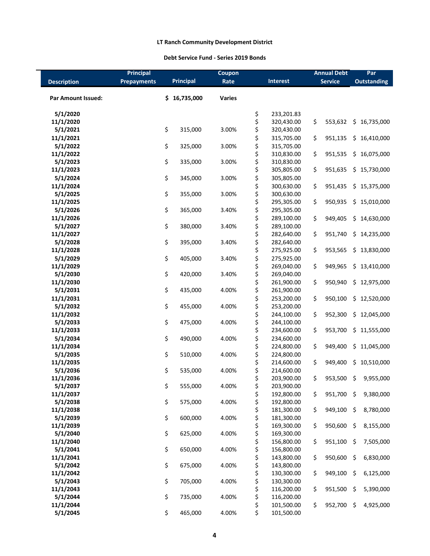## **Debt Service Fund - Series 2019 Bonds**

|                       | <b>Principal</b>   |                  | Coupon        |          |                          | <b>Annual Debt</b> |                | Par     |                    |
|-----------------------|--------------------|------------------|---------------|----------|--------------------------|--------------------|----------------|---------|--------------------|
| <b>Description</b>    | <b>Prepayments</b> | <b>Principal</b> | Rate          |          | <b>Interest</b>          |                    | <b>Service</b> |         | <b>Outstanding</b> |
|                       |                    |                  |               |          |                          |                    |                |         |                    |
| Par Amount Issued:    |                    | \$16,735,000     | <b>Varies</b> |          |                          |                    |                |         |                    |
|                       |                    |                  |               |          |                          |                    |                |         |                    |
| 5/1/2020              |                    |                  |               | \$       | 233,201.83               |                    |                |         |                    |
| 11/1/2020             |                    |                  |               | \$       | 320,430.00               | \$                 | 553,632        | \$.     | 16,735,000         |
| 5/1/2021              |                    | \$<br>315,000    | 3.00%         | \$       | 320,430.00               |                    |                |         |                    |
| 11/1/2021             |                    |                  |               | \$       | 315,705.00               | \$                 | 951,135        |         | \$16,410,000       |
| 5/1/2022              |                    | \$<br>325,000    | 3.00%         | \$       | 315,705.00               |                    |                |         |                    |
| 11/1/2022             |                    |                  |               | \$       | 310,830.00               | \$                 | 951,535        |         | \$16,075,000       |
| 5/1/2023              |                    | \$<br>335,000    | 3.00%         | \$       | 310,830.00               |                    |                |         |                    |
| 11/1/2023             |                    |                  |               | \$       | 305,805.00               | \$                 | 951,635        |         | \$15,730,000       |
| 5/1/2024              |                    | \$<br>345,000    | 3.00%         | \$       | 305,805.00               |                    |                |         |                    |
| 11/1/2024             |                    |                  |               | \$       | 300,630.00               | \$                 | 951,435        |         | \$15,375,000       |
| 5/1/2025              |                    | \$<br>355,000    | 3.00%         | \$       | 300,630.00               |                    |                |         |                    |
| 11/1/2025             |                    |                  |               | \$       | 295,305.00               | \$                 | 950,935        |         | \$15,010,000       |
| 5/1/2026              |                    | \$<br>365,000    | 3.40%         | \$       | 295,305.00               |                    |                |         |                    |
| 11/1/2026             |                    |                  |               | \$       | 289,100.00               | \$                 | 949,405        |         | \$14,630,000       |
| 5/1/2027              |                    | \$<br>380,000    | 3.40%         | \$       | 289,100.00               |                    |                |         |                    |
| 11/1/2027             |                    |                  |               | \$       | 282,640.00               | \$                 | 951,740        |         | \$14,235,000       |
| 5/1/2028              |                    | \$<br>395,000    | 3.40%         | \$       | 282,640.00               |                    |                |         |                    |
| 11/1/2028             |                    |                  |               | \$       | 275,925.00               | \$                 | 953,565        |         | \$13,830,000       |
| 5/1/2029              |                    | \$<br>405,000    | 3.40%         | \$       | 275,925.00               |                    |                |         |                    |
| 11/1/2029             |                    |                  |               | \$       | 269,040.00               | \$                 | 949,965        |         | \$13,410,000       |
| 5/1/2030              |                    | \$<br>420,000    | 3.40%         | \$       | 269,040.00               |                    |                |         |                    |
| 11/1/2030             |                    |                  |               | \$       | 261,900.00               | \$                 | 950,940        |         | \$12,975,000       |
| 5/1/2031              |                    | \$<br>435,000    | 4.00%         | \$       | 261,900.00               |                    |                |         |                    |
| 11/1/2031             |                    |                  |               | \$       | 253,200.00               | \$                 | 950,100        |         | \$12,520,000       |
| 5/1/2032              |                    | \$<br>455,000    | 4.00%         | \$       | 253,200.00               |                    |                |         |                    |
| 11/1/2032             |                    |                  |               | \$       | 244,100.00               | \$                 | 952,300        |         | \$12,045,000       |
| 5/1/2033              |                    | \$<br>475,000    | 4.00%         | \$       | 244,100.00               |                    |                |         |                    |
| 11/1/2033             |                    |                  |               | \$       | 234,600.00               | \$                 | 953,700        |         | \$11,555,000       |
| 5/1/2034              |                    | \$<br>490,000    | 4.00%         | \$       | 234,600.00               |                    |                |         |                    |
| 11/1/2034             |                    |                  |               | \$       | 224,800.00               | \$                 | 949,400        | \$.     | 11,045,000         |
| 5/1/2035              |                    | \$<br>510,000    | 4.00%         | \$       | 224,800.00               |                    |                |         |                    |
| 11/1/2035             |                    |                  |               | \$       | 214,600.00               | \$                 | 949,400        | \$      | 10,510,000         |
| 5/1/2036              |                    | \$<br>535,000    | 4.00%         | \$       | 214,600.00               |                    |                |         |                    |
| 11/1/2036             |                    |                  |               | \$       | 203,900.00               | \$                 | 953,500        | \$      | 9,955,000          |
| 5/1/2037              |                    | \$<br>555,000    | 4.00%         | \$       | 203,900.00               |                    |                |         |                    |
| 11/1/2037             |                    |                  |               | \$       | 192,800.00               | \$                 | 951,700        | \$      | 9,380,000          |
| 5/1/2038              |                    | \$<br>575,000    | 4.00%         | \$       | 192,800.00               |                    |                |         |                    |
| 11/1/2038             |                    |                  |               | \$       | 181,300.00               | \$                 | 949,100        | \$      | 8,780,000          |
| 5/1/2039              |                    | \$<br>600,000    | 4.00%         | \$       | 181,300.00               |                    |                |         |                    |
| 11/1/2039             |                    |                  |               | \$       | 169,300.00               | \$                 | 950,600        | \$      | 8,155,000          |
| 5/1/2040              |                    | \$<br>625,000    | 4.00%         | \$       | 169,300.00               |                    |                |         |                    |
| 11/1/2040             |                    |                  |               | \$       | 156,800.00               | \$                 | 951,100        | \$      | 7,505,000          |
| 5/1/2041<br>11/1/2041 |                    | \$<br>650,000    | 4.00%         | \$<br>\$ | 156,800.00               |                    | 950,600        | $\zeta$ |                    |
| 5/1/2042              |                    | \$               | 4.00%         | \$       | 143,800.00<br>143,800.00 | \$                 |                |         | 6,830,000          |
| 11/1/2042             |                    | 675,000          |               | \$       | 130,300.00               | \$                 | 949,100        | \$      | 6,125,000          |
| 5/1/2043              |                    | \$<br>705,000    | 4.00%         | \$       | 130,300.00               |                    |                |         |                    |
| 11/1/2043             |                    |                  |               | \$       | 116,200.00               | \$                 | 951,500        | \$      | 5,390,000          |
| 5/1/2044              |                    | \$<br>735,000    | 4.00%         | \$       | 116,200.00               |                    |                |         |                    |
| 11/1/2044             |                    |                  |               | \$       | 101,500.00               | \$                 | 952,700        | $\zeta$ | 4,925,000          |
| 5/1/2045              |                    | \$<br>465,000    | 4.00%         | \$       | 101,500.00               |                    |                |         |                    |
|                       |                    |                  |               |          |                          |                    |                |         |                    |